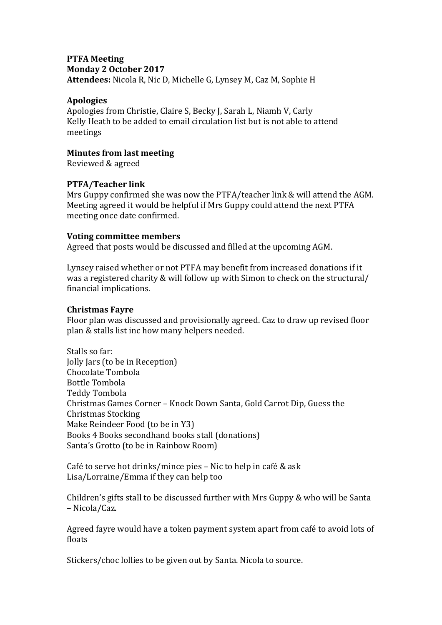#### **PTFA Meeting Monday 2 October 2017 Attendees:** Nicola R, Nic D, Michelle G, Lynsey M, Caz M, Sophie H

#### **Apologies**

Apologies from Christie, Claire S, Becky J, Sarah L, Niamh V, Carly Kelly Heath to be added to email circulation list but is not able to attend meetings

#### **Minutes from last meeting**

Reviewed & agreed

# **PTFA/Teacher link**

Mrs Guppy confirmed she was now the PTFA/teacher link & will attend the AGM. Meeting agreed it would be helpful if Mrs Guppy could attend the next PTFA meeting once date confirmed.

#### **Voting committee members**

Agreed that posts would be discussed and filled at the upcoming AGM.

Lynsey raised whether or not PTFA may benefit from increased donations if it was a registered charity & will follow up with Simon to check on the structural/ financial implications.

#### **Christmas Fayre**

Floor plan was discussed and provisionally agreed. Caz to draw up revised floor plan & stalls list inc how many helpers needed.

Stalls so far: Jolly Jars (to be in Reception) Chocolate Tombola Bottle Tombola Teddy Tombola Christmas Games Corner – Knock Down Santa, Gold Carrot Dip, Guess the Christmas Stocking Make Reindeer Food (to be in Y3) Books 4 Books secondhand books stall (donations) Santa's Grotto (to be in Rainbow Room)

Café to serve hot drinks/mince pies – Nic to help in café & ask Lisa/Lorraine/Emma if they can help too

Children's gifts stall to be discussed further with Mrs Guppy & who will be Santa – Nicola/Caz.

Agreed fayre would have a token payment system apart from café to avoid lots of floats

Stickers/choc lollies to be given out by Santa. Nicola to source.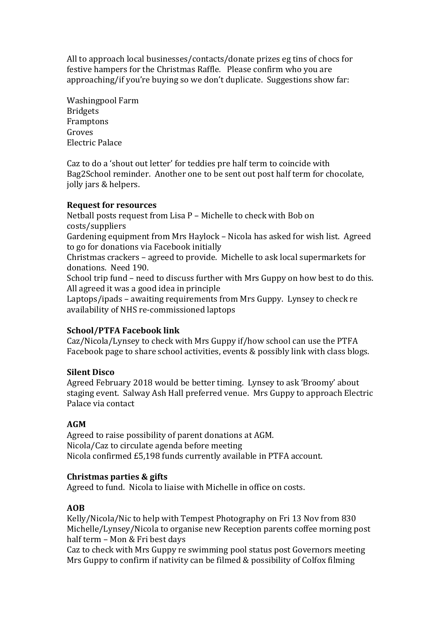All to approach local businesses/contacts/donate prizes eg tins of chocs for festive hampers for the Christmas Raffle. Please confirm who you are approaching/if you're buying so we don't duplicate. Suggestions show far:

Washingpool Farm Bridgets Framptons Groves Electric Palace

Caz to do a 'shout out letter' for teddies pre half term to coincide with Bag2School reminder. Another one to be sent out post half term for chocolate, jolly jars & helpers.

# **Request for resources**

Netball posts request from Lisa P – Michelle to check with Bob on costs/suppliers Gardening equipment from Mrs Haylock – Nicola has asked for wish list. Agreed to go for donations via Facebook initially Christmas crackers – agreed to provide. Michelle to ask local supermarkets for donations. Need 190. School trip fund – need to discuss further with Mrs Guppy on how best to do this. All agreed it was a good idea in principle Laptops/ipads – awaiting requirements from Mrs Guppy. Lynsey to check re availability of NHS re-commissioned laptops

# **School/PTFA Facebook link**

Caz/Nicola/Lynsey to check with Mrs Guppy if/how school can use the PTFA Facebook page to share school activities, events & possibly link with class blogs.

# **Silent Disco**

Agreed February 2018 would be better timing. Lynsey to ask 'Broomy' about staging event. Salway Ash Hall preferred venue. Mrs Guppy to approach Electric Palace via contact

# **AGM**

Agreed to raise possibility of parent donations at AGM. Nicola/Caz to circulate agenda before meeting Nicola confirmed £5,198 funds currently available in PTFA account.

#### **Christmas parties & gifts**

Agreed to fund. Nicola to liaise with Michelle in office on costs.

# **AOB**

Kelly/Nicola/Nic to help with Tempest Photography on Fri 13 Nov from 830 Michelle/Lynsey/Nicola to organise new Reception parents coffee morning post half term – Mon & Fri best days

Caz to check with Mrs Guppy re swimming pool status post Governors meeting Mrs Guppy to confirm if nativity can be filmed & possibility of Colfox filming